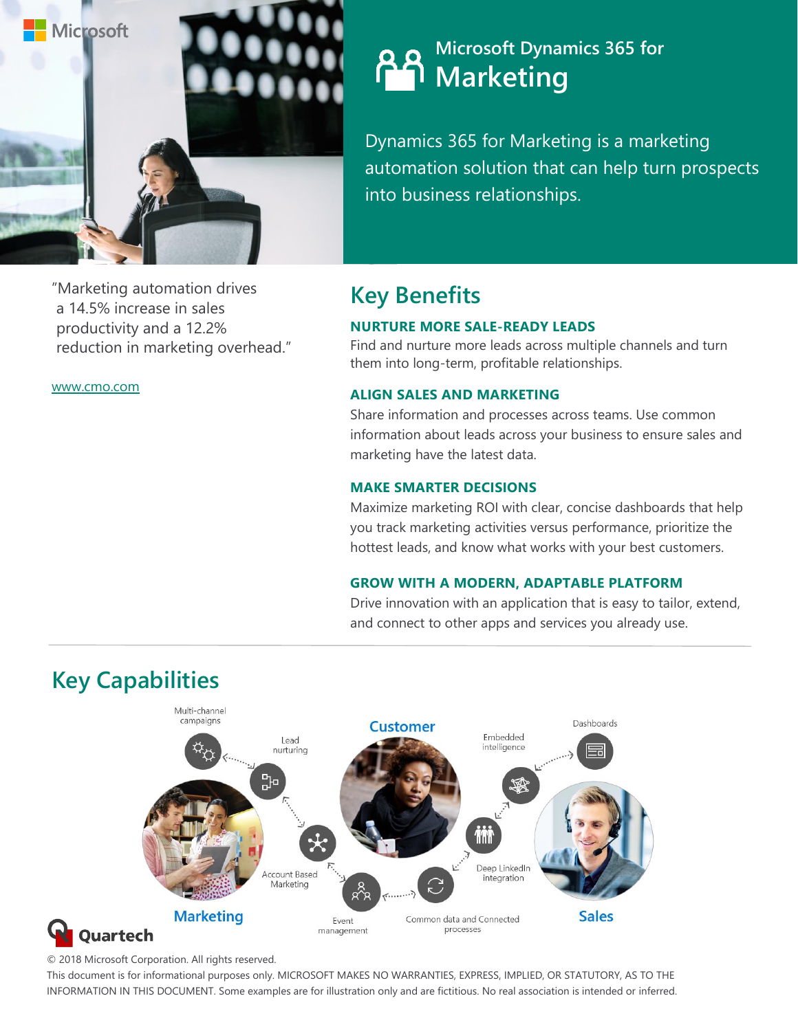

"Marketing automation drives a 14.5% increase in sales productivity and a 12.2%

www.cmo.com

reduction in marketing overhead."

## **Microsoft Dynamics 365 for Marketing**

Dynamics 365 for Marketing is a marketing automation solution that can help turn prospects into business relationships.

# **Key Benefits**

#### **NURTURE MORE SALE-READY LEADS**

Find and nurture more leads across multiple channels and turn them into long-term, profitable relationships.

#### **ALIGN SALES AND MARKETING**

Share information and processes across teams. Use common information about leads across your business to ensure sales and marketing have the latest data.

#### **MAKE SMARTER DECISIONS**

Maximize marketing ROI with clear, concise dashboards that help you track marketing activities versus performance, prioritize the hottest leads, and know what works with your best customers.

#### **GROW WITH A MODERN, ADAPTABLE PLATFORM**

Drive innovation with an application that is easy to tailor, extend, and connect to other apps and services you already use.



## **Key Capabilities**

© 2018 Microsoft Corporation. All rights reserved.

This document is for informational purposes only. MICROSOFT MAKES NO WARRANTIES, EXPRESS, IMPLIED, OR STATUTORY, AS TO THE INFORMATION IN THIS DOCUMENT. Some examples are for illustration only and are fictitious. No real association is intended or inferred.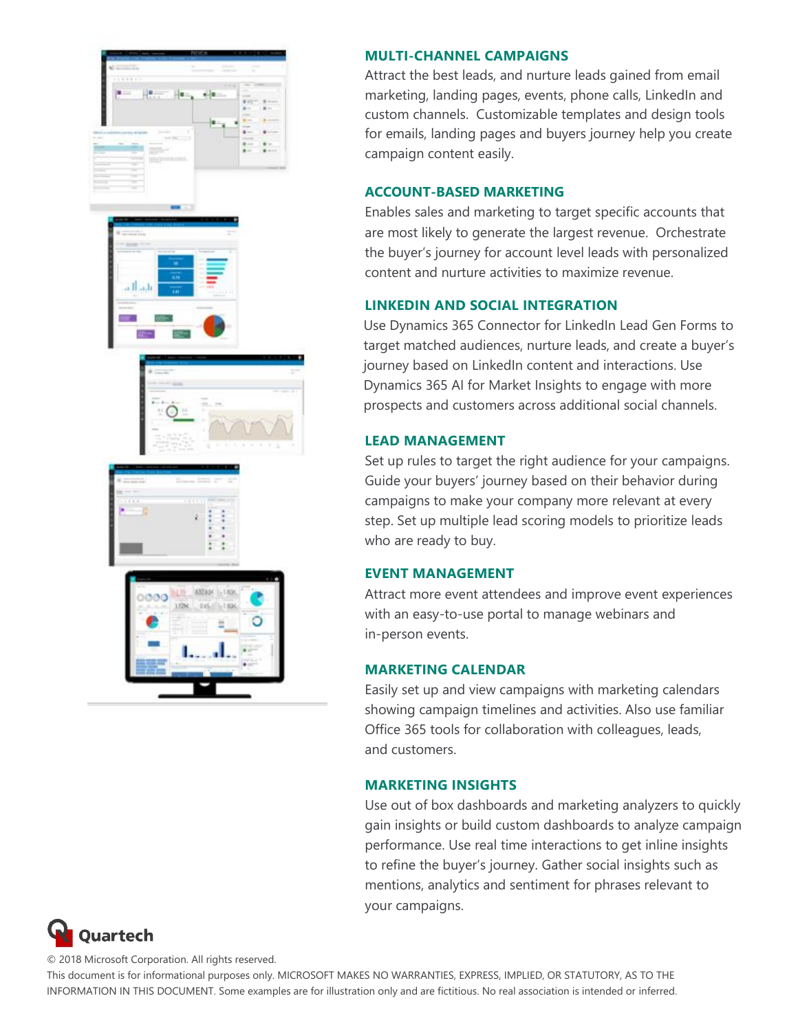

#### **MULTI-CHANNEL CAMPAIGNS**

Attract the best leads, and nurture leads gained from email marketing, landing pages, events, phone calls, LinkedIn and custom channels. Customizable templates and design tools for emails, landing pages and buyers journey help you create campaign content easily.

#### **ACCOUNT-BASED MARKETING**

Enables sales and marketing to target specific accounts that are most likely to generate the largest revenue. Orchestrate the buyer's journey for account level leads with personalized content and nurture activities to maximize revenue.

#### **LINKEDIN AND SOCIAL INTEGRATION**

Use Dynamics [365 Connector for LinkedIn Lead](https://go.microsoft.com/fwlink/?LinkId=869845&clcid=0x409) Gen Forms to target matched audiences, nurture leads, and create a buyer's journey based on LinkedIn content and interactions. Use [Dynamics](https://go.microsoft.com/fwlink/?LinkId=869880&clcid=0x409) 365 AI for Market Insights to engage with more prospects and customers across additional social channels.

#### **LEAD MANAGEMENT**

Set up rules to target the right audience for your campaigns. Guide your buyers' journey based on their behavior during campaigns to make your company more relevant at every step. Set up multiple lead scoring models to prioritize leads who are ready to buy.

#### **EVENT MANAGEMENT**

Attract more event attendees and improve event experiences with an easy-to-use portal to manage webinars and in-person events.

#### **MARKETING CALENDAR**

Easily set up and view campaigns with marketing calendars showing campaign timelines and activities. Also use familiar Office 365 tools for collaboration with colleagues, leads, and customers.

### **MARKETING INSIGHTS**

Use out of box dashboards and marketing analyzers to quickly gain insights or build custom dashboards to analyze campaign performance. Use real time interactions to get inline insights to refine the buyer's journey. Gather social insights such as mentions, analytics and sentiment for phrases relevant to your campaigns.



© 2018 Microsoft Corporation. All rights reserved.

This document is for informational purposes only. MICROSOFT MAKES NO WARRANTIES, EXPRESS, IMPLIED, OR STATUTORY, AS TO THE INFORMATION IN THIS DOCUMENT. Some examples are for illustration only and are fictitious. No real association is intended or inferred.